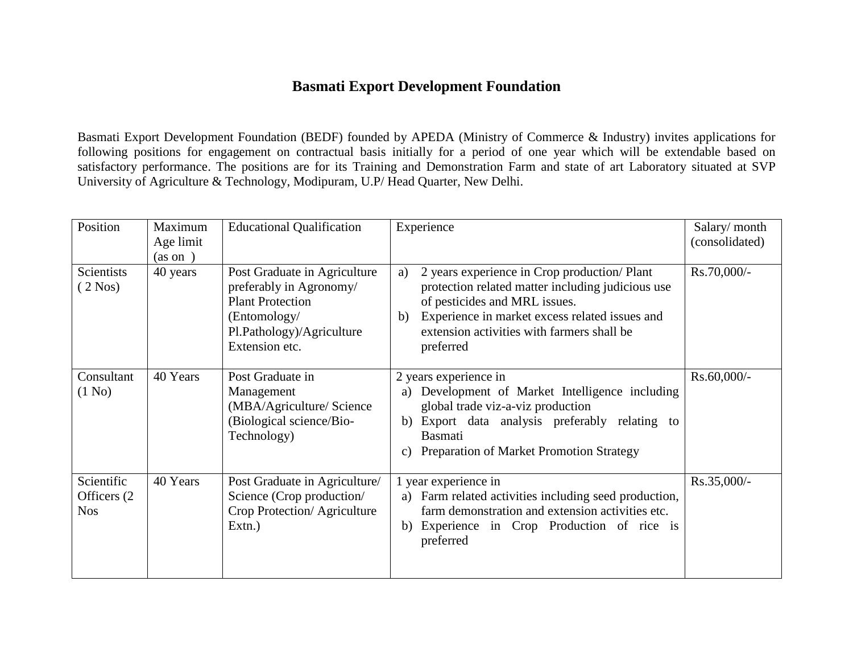## **Basmati Export Development Foundation**

Basmati Export Development Foundation (BEDF) founded by APEDA (Ministry of Commerce & Industry) invites applications for following positions for engagement on contractual basis initially for a period of one year which will be extendable based on satisfactory performance. The positions are for its Training and Demonstration Farm and state of art Laboratory situated at SVP University of Agriculture & Technology, Modipuram, U.P/ Head Quarter, New Delhi.

| Position                                 | Maximum<br>Age limit<br>(as on ) | <b>Educational Qualification</b>                                                                                                                  | Experience                                                                                                                                                                                                                                                  | Salary/month<br>(consolidated) |
|------------------------------------------|----------------------------------|---------------------------------------------------------------------------------------------------------------------------------------------------|-------------------------------------------------------------------------------------------------------------------------------------------------------------------------------------------------------------------------------------------------------------|--------------------------------|
| Scientists<br>$(2\text{ Nos})$           | 40 years                         | Post Graduate in Agriculture<br>preferably in Agronomy/<br><b>Plant Protection</b><br>(Entomology/<br>Pl.Pathology)/Agriculture<br>Extension etc. | 2 years experience in Crop production/ Plant<br>a)<br>protection related matter including judicious use<br>of pesticides and MRL issues.<br>Experience in market excess related issues and<br>b)<br>extension activities with farmers shall be<br>preferred | Rs.70,000/-                    |
| Consultant<br>(1 No)                     | 40 Years                         | Post Graduate in<br>Management<br>(MBA/Agriculture/ Science<br>(Biological science/Bio-<br>Technology)                                            | 2 years experience in<br>Development of Market Intelligence including<br>a)<br>global trade viz-a-viz production<br>b) Export data analysis preferably relating to<br><b>Basmati</b><br>Preparation of Market Promotion Strategy<br>$\mathcal{C}$ )         | Rs.60,000/-                    |
| Scientific<br>Officers (2)<br><b>Nos</b> | 40 Years                         | Post Graduate in Agriculture/<br>Science (Crop production/<br>Crop Protection/Agriculture<br>Extn.)                                               | year experience in<br>a) Farm related activities including seed production,<br>farm demonstration and extension activities etc.<br>b) Experience in Crop Production of rice is<br>preferred                                                                 | Rs.35,000/-                    |